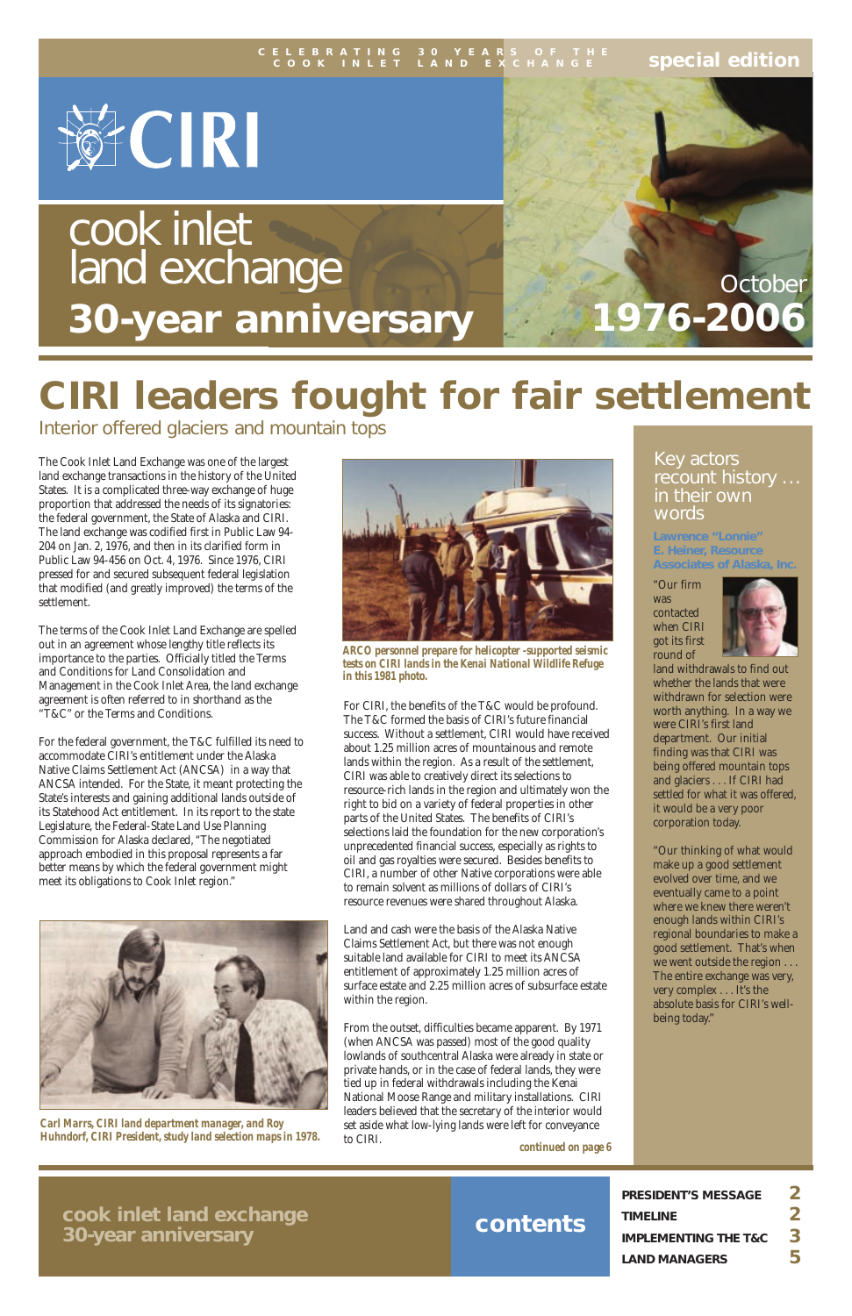### **contents**

**special edition**



# **CIRI leaders fought for fair settlement**

Interior offered glaciers and mountain tops

The Cook Inlet Land Exchange was one of the largest land exchange transactions in the history of the United States. It is a complicated three-way exchange of huge proportion that addressed the needs of its signatories: the federal government, the State of Alaska and CIRI. The land exchange was codified first in Public Law 94- 204 on Jan. 2, 1976, and then in its clarified form in Public Law 94-456 on Oct. 4, 1976. Since 1976, CIRI pressed for and secured subsequent federal legislation that modified (and greatly improved) the terms of the settlement.

The terms of the Cook Inlet Land Exchange are spelled out in an agreement whose lengthy title reflects its importance to the parties. Officially titled the Terms and Conditions for Land Consolidation and Management in the Cook Inlet Area, the land exchange agreement is often referred to in shorthand as the "T&C" or the Terms and Conditions.

For the federal government, the T&C fulfilled its need to accommodate CIRI's entitlement under the Alaska Native Claims Settlement Act (ANCSA) in a way that ANCSA intended. For the State, it meant protecting the State's interests and gaining additional lands outside of its Statehood Act entitlement. In its report to the state Legislature, the Federal-State Land Use Planning Commission for Alaska declared, "The negotiated approach embodied in this proposal represents a far better means by which the federal government might meet its obligations to Cook Inlet region."



For CIRI, the benefits of the T&C would be profound. The T&C formed the basis of CIRI's future financial success. Without a settlement, CIRI would have received about 1.25 million acres of mountainous and remote lands within the region. As a result of the settlement, CIRI was able to creatively direct its selections to resource-rich lands in the region and ultimately won the right to bid on a variety of federal properties in other parts of the United States. The benefits of CIRI's selections laid the foundation for the new corporation's unprecedented financial success, especially as rights to oil and gas royalties were secured. Besides benefits to CIRI, a number of other Native corporations were able to remain solvent as millions of dollars of CIRI's resource revenues were shared throughout Alaska.

Land and cash were the basis of the Alaska Native Claims Settlement Act, but there was not enough suitable land available for CIRI to meet its ANCSA

entitlement of approximately 1.25 million acres of surface estate and 2.25 million acres of subsurface estate within the region.

# cook inlet land exchange **30-year anniversary**

**1976-2006**

| <b>PRESIDENT'S MESSAGE</b>      |   |
|---------------------------------|---|
| <b>TIMELINE</b>                 |   |
| <b>IMPLEMENTING THE T&amp;C</b> | 3 |
| <b>LAND MANAGERS</b>            | 5 |

#### **CELEBRATING 30 YEARS OF THE COOK INLET LAND EXCHANGE**



*ARCO personnel prepare for helicopter -supported seismic tests on CIRI lands in the Kenai National Wildlife Refuge in this 1981 photo.*

**cook inlet land exchange 30-year anniversary**

*Carl Marrs, CIRI land department manager, and Roy Huhndorf, CIRI President, study land selection maps in 1978.*

From the outset, difficulties became apparent. By 1971 (when ANCSA was passed) most of the good quality lowlands of southcentral Alaska were already in state or private hands, or in the case of federal lands, they were tied up in federal withdrawals including the Kenai National Moose Range and military installations. CIRI leaders believed that the secretary of the interior would set aside what low-lying lands were left for conveyance to CIRI. *continued on page 6*

#### **Lawrence "Lonnie" E. Heiner, Resource Associates of Alaska, Inc.**

"Our firm was contacted when CIRI got its first round of



**October** 

land withdrawals to find out whether the lands that were withdrawn for selection were worth anything. In a way we were CIRI's first land department. Our initial finding was that CIRI was being offered mountain tops and glaciers . . . If CIRI had settled for what it was offered, it would be a very poor corporation today.

"Our thinking of what would make up a good settlement evolved over time, and we eventually came to a point where we knew there weren't enough lands within CIRI's regional boundaries to make a good settlement. That's when we went outside the region . . . The entire exchange was very, very complex . . . It's the absolute basis for CIRI's wellbeing today."

#### Key actors recount history ... in their own words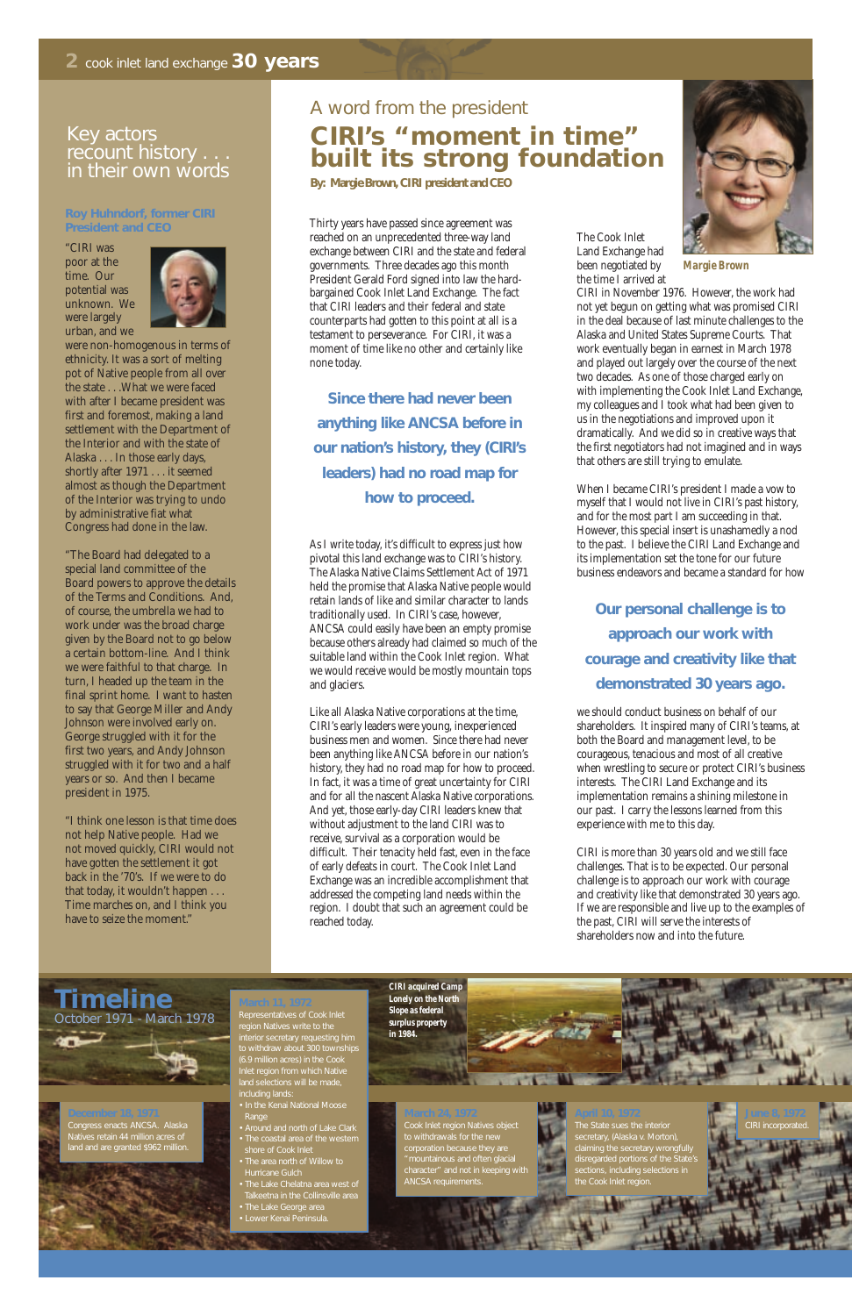Thirty years have passed since agreement was reached on an unprecedented three-way land exchange between CIRI and the state and federal governments. Three decades ago this month President Gerald Ford signed into law the hardbargained Cook Inlet Land Exchange. The fact that CIRI leaders and their federal and state counterparts had gotten to this point at all is a testament to perseverance. For CIRI, it was a moment of time like no other and certainly like none today.

As I write today, it's difficult to express just how pivotal this land exchange was to CIRI's history. The Alaska Native Claims Settlement Act of 1971 held the promise that Alaska Native people would retain lands of like and similar character to lands traditionally used. In CIRI's case, however, ANCSA could easily have been an empty promise because others already had claimed so much of the suitable land within the Cook Inlet region. What we would receive would be mostly mountain tops and glaciers.

Like all Alaska Native corporations at the time, CIRI's early leaders were young, inexperienced business men and women. Since there had never been anything like ANCSA before in our nation's history, they had no road map for how to proceed. In fact, it was a time of great uncertainty for CIRI and for all the nascent Alaska Native corporations. And yet, those early-day CIRI leaders knew that without adjustment to the land CIRI was to receive, survival as a corporation would be difficult. Their tenacity held fast, even in the face of early defeats in court. The Cook Inlet Land Exchange was an incredible accomplishment that addressed the competing land needs within the region. I doubt that such an agreement could be reached today.

The Cook Inlet Land Exchange had been negotiated by the time I arrived at



CIRI in November 1976. However, the work had not yet begun on getting what was promised CIRI in the deal because of last minute challenges to the Alaska and United States Supreme Courts. That work eventually began in earnest in March 1978 and played out largely over the course of the next two decades. As one of those charged early on with implementing the Cook Inlet Land Exchange, my colleagues and I took what had been given to us in the negotiations and improved upon it dramatically. And we did so in creative ways that the first negotiators had not imagined and in ways that others are still trying to emulate.

When I became CIRI's president I made a vow to myself that I would not live in CIRI's past history, and for the most part I am succeeding in that. However, this special insert is unashamedly a nod to the past. I believe the CIRI Land Exchange and its implementation set the tone for our future business endeavors and became a standard for how

we should conduct business on behalf of our shareholders. It inspired many of CIRI's teams, at both the Board and management level, to be courageous, tenacious and most of all creative when wrestling to secure or protect CIRI's business interests. The CIRI Land Exchange and its implementation remains a shining milestone in our past. I carry the lessons learned from this experience with me to this day.

CIRI is more than 30 years old and we still face challenges. That is to be expected. Our personal challenge is to approach our work with courage and creativity like that demonstrated 30 years ago. If we are responsible and live up to the examples of the past, CIRI will serve the interests of shareholders now and into the future.

### A word from the president **CIRI's "moment in time" built its strong foundation**

**By: Margie Brown, CIRI president and CEO**

*Margie Brown*

#### **Roy Huhndorf, former CIRI President and CEO**

"CIRI was poor at the time. Our potential was unknown. We were largely urban, and we



were non-homogenous in terms of ethnicity. It was a sort of melting pot of Native people from all over the state . . .What we were faced with after I became president was first and foremost, making a land settlement with the Department of the Interior and with the state of Alaska . . . In those early days, shortly after 1971 . . . it seemed almost as though the Department of the Interior was trying to undo by administrative fiat what Congress had done in the law.

"The Board had delegated to a special land committee of the Board powers to approve the details of the Terms and Conditions. And, of course, the umbrella we had to work under was the broad charge given by the Board not to go below a certain bottom-line. And I think we were faithful to that charge. In turn, I headed up the team in the final sprint home. I want to hasten to say that George Miller and Andy Johnson were involved early on. George struggled with it for the first two years, and Andy Johnson struggled with it for two and a half years or so. And then I became president in 1975.

"I think one lesson is that time does not help Native people. Had we not moved quickly, CIRI would not have gotten the settlement it got back in the '70's. If we were to do that today, it wouldn't happen . . . Time marches on, and I think you have to seize the moment."

#### Key actors recount history . . . in their own words

# **Timeline** October 1971 - March 1978

#### **April 10, 1972**

secretary, (Alaska v. Morton), claiming the secretary wrongfully

#### **December 18, 1971** Natives retain 44 million acres of land and are granted \$962 million.



**March 24, 1972**

to withdrawals for the new

"mountainous and often glacial

**Since there had never been anything like ANCSA before in our nation's history, they (CIRI's leaders) had no road map for how to proceed.**

#### **March 11, 1972**

region Natives write to the interior secretary requesting him to withdraw about 300 townships (6.9 million acres) in the Cook Inlet region from which Native land selections will be made, including lands:

- Range
- Around and north of Lake Clark
- 
- The area north of Willow to Hurricane Gulch
- Talkeetna in the Collinsville area
- 
- Lower Kenai Peninsula.

**Our personal challenge is to approach our work with courage and creativity like that demonstrated 30 years ago.** 



### **A AI**

#### *Lonely on the North Slope as federal surplus property in 1984.*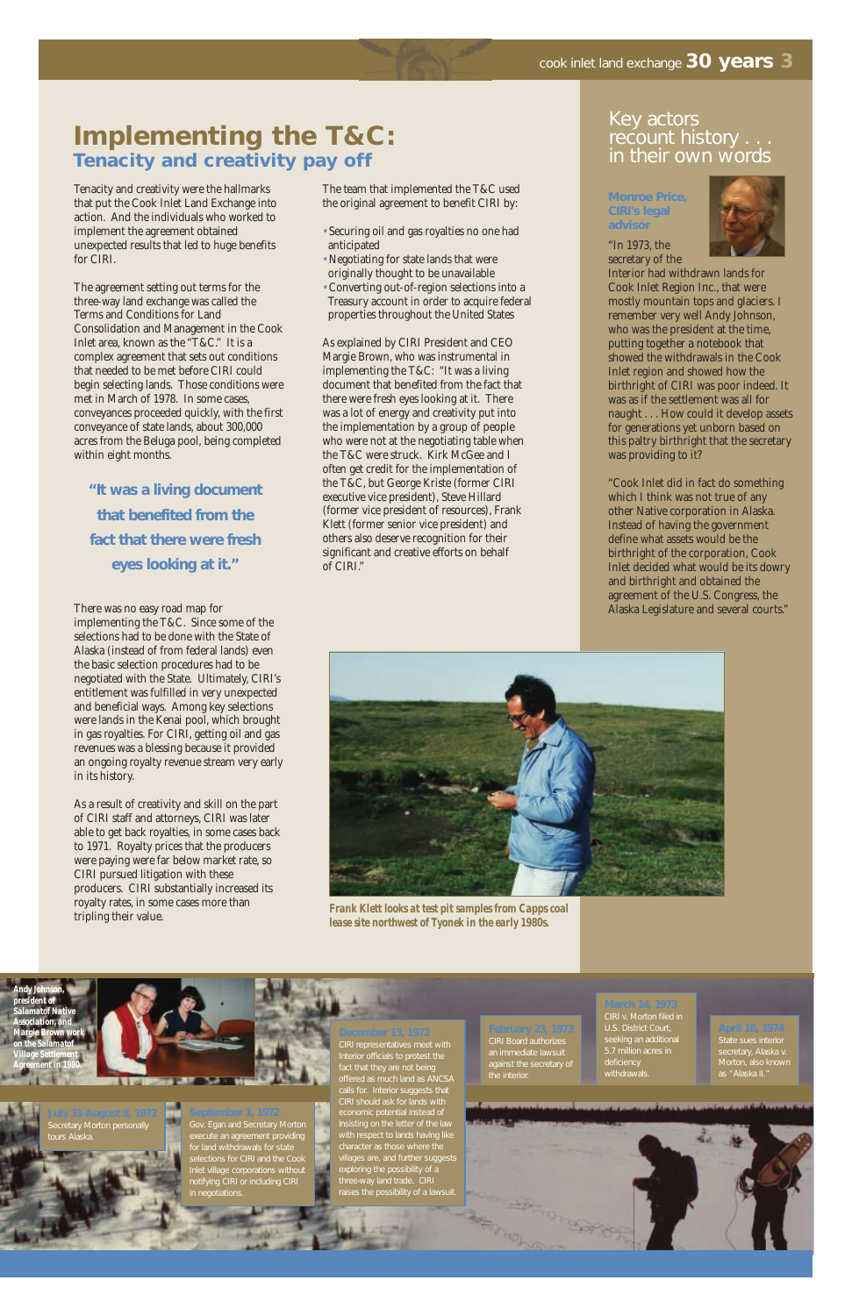## **Implementing the T&C: Tenacity and creativity pay off**

Tenacity and creativity were the hallmarks that put the Cook Inlet Land Exchange into action. And the individuals who worked to implement the agreement obtained unexpected results that led to huge benefits for CIRI.

The agreement setting out terms for the three-way land exchange was called the Terms and Conditions for Land Consolidation and Management in the Cook Inlet area, known as the "T&C." It is a complex agreement that sets out conditions that needed to be met before CIRI could begin selecting lands. Those conditions were met in March of 1978. In some cases, conveyances proceeded quickly, with the first conveyance of state lands, about 300,000 acres from the Beluga pool, being completed within eight months.

There was no easy road map for implementing the T&C. Since some of the selections had to be done with the State of Alaska (instead of from federal lands) even the basic selection procedures had to be negotiated with the State. Ultimately, CIRI's entitlement was fulfilled in very unexpected and beneficial ways. Among key selections were lands in the Kenai pool, which brought in gas royalties. For CIRI, getting oil and gas revenues was a blessing because it provided an ongoing royalty revenue stream very early in its history.

As a result of creativity and skill on the part of CIRI staff and attorneys, CIRI was later able to get back royalties, in some cases back to 1971. Royalty prices that the producers were paying were far below market rate, so CIRI pursued litigation with these producers. CIRI substantially increased its royalty rates, in some cases more than tripling their value.

The team that implemented the T&C used the original agreement to benefit CIRI by:

- Securing oil and gas royalties no one had anticipated
- Negotiating for state lands that were originally thought to be unavailable
- Converting out-of-region selections into a Treasury account in order to acquire federal properties throughout the United States

As explained by CIRI President and CEO Margie Brown, who was instrumental in implementing the T&C: "It was a living document that benefited from the fact that there were fresh eyes looking at it. There was a lot of energy and creativity put into the implementation by a group of people who were not at the negotiating table when the T&C were struck. Kirk McGee and I often get credit for the implementation of the T&C, but George Kriste (former CIRI executive vice president), Steve Hillard (former vice president of resources), Frank Klett (former senior vice president) and others also deserve recognition for their significant and creative efforts on behalf of CIRI."

**"It was a living document that benefited from the fact that there were fresh eyes looking at it."**

#### **Monroe Price, CIRI's legal advisor**



"In 1973, the secretary of the

Interior had withdrawn lands for Cook Inlet Region Inc., that were mostly mountain tops and glaciers. I remember very well Andy Johnson, who was the president at the time, putting together a notebook that showed the withdrawals in the Cook Inlet region and showed how the birthright of CIRI was poor indeed. It was as if the settlement was all for naught . . . How could it develop assets for generations yet unborn based on this paltry birthright that the secretary was providing to it?

"Cook Inlet did in fact do something which I think was not true of any other Native corporation in Alaska. Instead of having the government define what assets would be the birthright of the corporation, Cook Inlet decided what would be its dowry and birthright and obtained the agreement of the U.S. Congress, the Alaska Legislature and several courts."

#### Key actors recount history . . . in their own words

**September 1, 1972** execute an agreement providing for land withdrawals for state selections for CIRI and the Cook notifying CIRI or including CIRI in negotiations.

**July 31-August 8, 1972** Secretary Morton personally tours Alaska.

**April 18, 1974**

Morton, also known



**March 14, 1973** CIRI v. Morton filed in seeking an additional 5.7 million acres in deficiency

**February 23, 1973** an immediate lawsuit against the secretary of the interior.



*Frank Klett looks at test pit samples from Capps coal lease site northwest of Tyonek in the early 1980s.*

**December 13, 1972** CIRI representatives meet with Interior officials to protest the calls for. Interior suggests that CIRI should ask for lands with with respect to lands having like villages are, and further suggests exploring the possibility of a three-way land trade. CIRI raises the possibility of a lawsuit.

*Andy Johnson, president of Salamatof Native <i><u>Association</u>*, and *Margie Brown work on the Salamatof Village Settlement Agreement in 1980.*



**COL** W.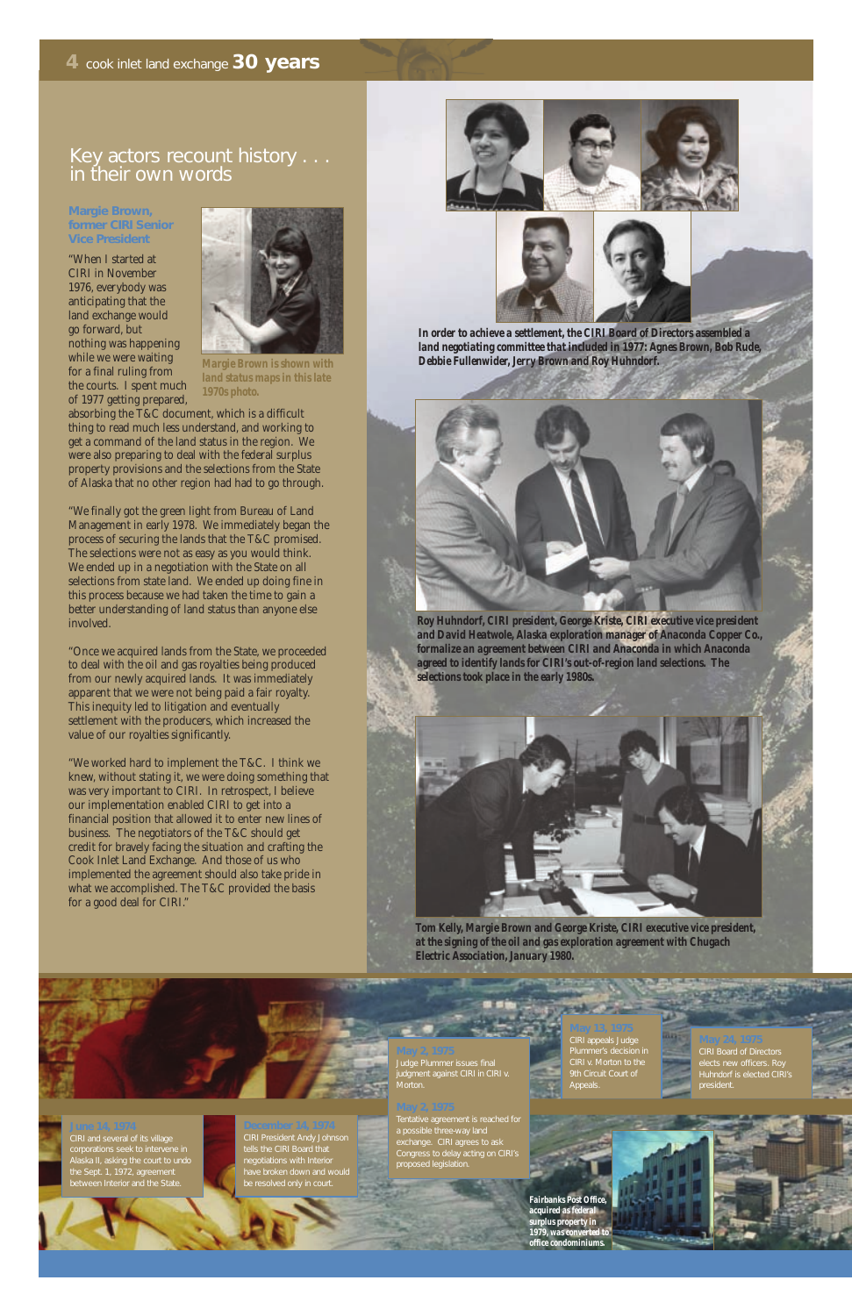### Key actors recount history . . . in their own words

#### **Margie Brown, former CIRI Senior Vice President**

"When I started at CIRI in November 1976, everybody was anticipating that the land exchange would go forward, but nothing was happening while we were waiting for a final ruling from the courts. I spent much of 1977 getting prepared,

absorbing the T&C document, which is a difficult thing to read much less understand, and working to get a command of the land status in the region. We were also preparing to deal with the federal surplus property provisions and the selections from the State of Alaska that no other region had had to go through.

"We finally got the green light from Bureau of Land Management in early 1978. We immediately began the process of securing the lands that the T&C promised. The selections were not as easy as you would think. We ended up in a negotiation with the State on all selections from state land. We ended up doing fine in this process because we had taken the time to gain a better understanding of land status than anyone else involved.

"Once we acquired lands from the State, we proceeded to deal with the oil and gas royalties being produced from our newly acquired lands. It was immediately apparent that we were not being paid a fair royalty. This inequity led to litigation and eventually settlement with the producers, which increased the value of our royalties significantly.

"We worked hard to implement the T&C. I think we knew, without stating it, we were doing something that was very important to CIRI. In retrospect, I believe our implementation enabled CIRI to get into a financial position that allowed it to enter new lines of business. The negotiators of the T&C should get credit for bravely facing the situation and crafting the Cook Inlet Land Exchange. And those of us who implemented the agreement should also take pride in what we accomplished. The T&C provided the basis for a good deal for CIRI."



#### **May 13, 1975**

CIRI appeals Judge Plummer's decision in CIRI v. Morton to the Appeals.

#### **December 14, 1974** tells the CIRI Board that negotiations with Interior have broken down and would

**June 14, 1974** CIRI and several of its village Alaska II, asking the court to undo the Sept. 1, 1972, agreement between Interior and the State.

#### **May 24, 1975** CIRI Board of Directors Huhndorf is elected CIRI's president.

**TARY** 



*Roy Huhndorf, CIRI president, George Kriste, CIRI executive vice president and David Heatwole, Alaska exploration manager of Anaconda Copper Co., formalize an agreement between CIRI and Anaconda in which Anaconda agreed to identify lands for CIRI's out-of-region land selections. The selections took place in the early 1980s.*



*Tom Kelly, Margie Brown and George Kriste, CIRI executive vice president, at the signing of the oil and gas exploration agreement with Chugach Electric Association, January 1980.*



*In order to achieve a settlement, the CIRI Board of Directors assembled a land negotiating committee that included in 1977: Agnes Brown, Bob Rude, Debbie Fullenwider, Jerry Brown and Roy Huhndorf.*

### **May 2, 1975**

#### **May 2, 1975**

a possible three-way land exchange. CIRI agrees to ask Congress to delay acting on CIRI's proposed legislation.



*Margie Brown is shown with land status maps in this late 1970s photo.*

*Fairbanks Post Office, acquired as federal surplus property in 1979, was converted to office condominiums.*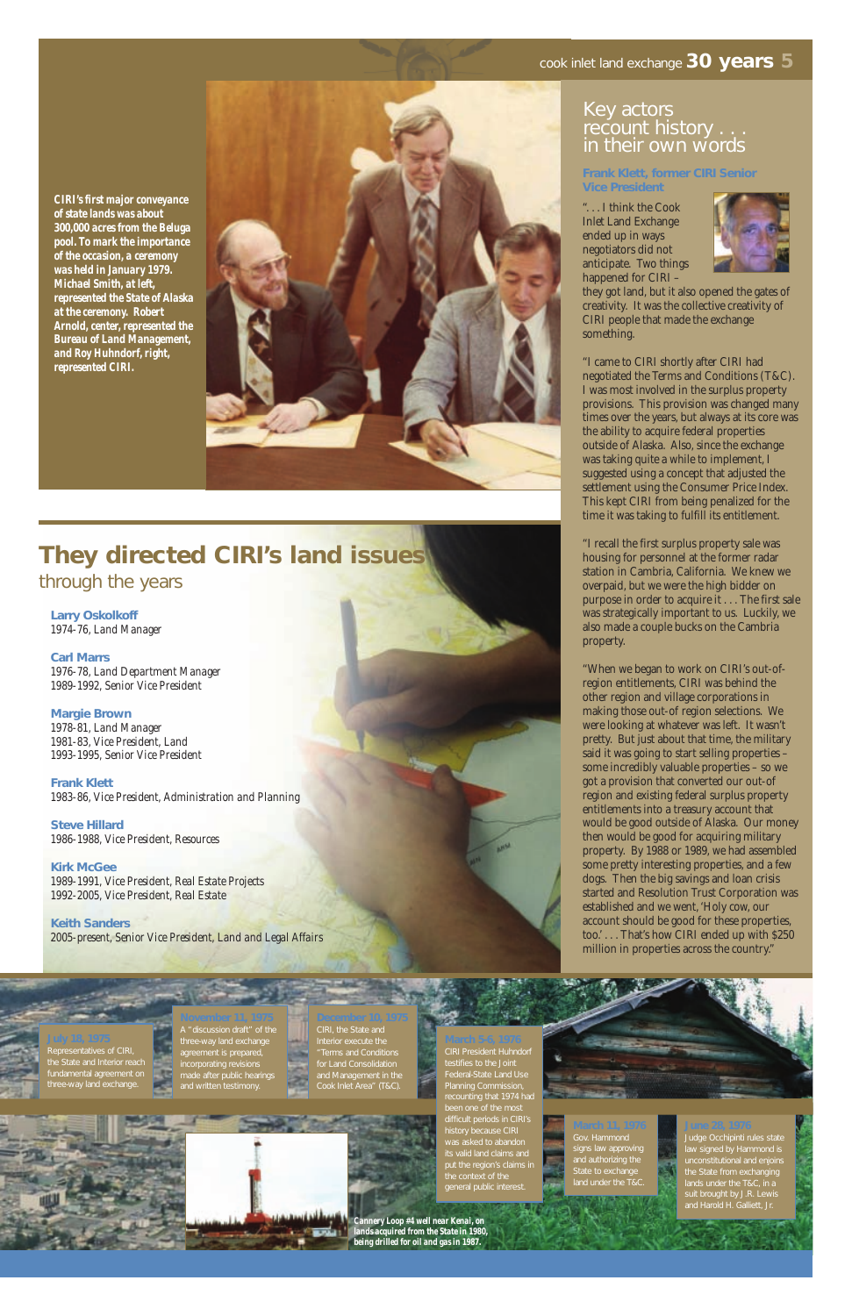#### cook inlet land exchange **30 years 5**

#### Key actors recount history . . . in their own words

## CIRI, the State and

for Land Consolidation and Management in the Cook Inlet Area" (T&C).

#### **November 11, 1975** A "discussion draft" of the

made after public hearings

Representatives of CIRI, the State and Interior reach

> **June 28, 1976** Judge Occhipinti rules state law signed by Hammond is the State from exchanging and Harold H. Galliett, Jr.



**March 11, 1976** signs law approving State to exchange

#### **Frank Klett, former CIRI Senior Vice President**

". . . I think the Cook Inlet Land Exchange ended up in ways negotiators did not anticipate. Two things happened for CIRI –



they got land, but it also opened the gates of creativity. It was the collective creativity of CIRI people that made the exchange something.

"I came to CIRI shortly after CIRI had negotiated the Terms and Conditions (T&C). I was most involved in the surplus property provisions. This provision was changed many times over the years, but always at its core was the ability to acquire federal properties outside of Alaska. Also, since the exchange was taking quite a while to implement, I suggested using a concept that adjusted the settlement using the Consumer Price Index. This kept CIRI from being penalized for the time it was taking to fulfill its entitlement.

"I recall the first surplus property sale was housing for personnel at the former radar station in Cambria, California. We knew we overpaid, but we were the high bidder on purpose in order to acquire it . . . The first sale was strategically important to us. Luckily, we also made a couple bucks on the Cambria property.

"When we began to work on CIRI's out-ofregion entitlements, CIRI was behind the other region and village corporations in making those out-of region selections. We were looking at whatever was left. It wasn't pretty. But just about that time, the military said it was going to start selling properties – some incredibly valuable properties – so we got a provision that converted our out-of region and existing federal surplus property entitlements into a treasury account that would be good outside of Alaska. Our money then would be good for acquiring military property. By 1988 or 1989, we had assembled some pretty interesting properties, and a few dogs. Then the big savings and loan crisis started and Resolution Trust Corporation was established and we went, 'Holy cow, our account should be good for these properties, too.' . . . That's how CIRI ended up with \$250 million in properties across the country."

## **They directed CIRI's land issues**

through the years

**Larry Oskolkoff** *1974-76, Land Manager*

**Carl Marrs** *1976-78, Land Department Manager 1989-1992, Senior Vice President*

**Margie Brown** *1978-81, Land Manager 1981-83, Vice President, Land 1993-1995, Senior Vice President*

**Frank Klett** *1983-86, Vice President, Administration and Planning*

**Steve Hillard** *1986-1988, Vice President, Resources*

**Kirk McGee** *1989-1991, Vice President, Real Estate Projects 1992-2005, Vice President, Real Estate*

**Keith Sanders** *2005-present, Senior Vice President, Land and Legal Affairs*

*CIRI's first major conveyance of state lands was about 300,000 acres from the Beluga pool. To mark the importance of the occasion, a ceremony was held in January 1979. Michael Smith, at left, represented the State of Alaska at the ceremony. Robert Arnold, center, represented the Bureau of Land Management, and Roy Huhndorf, right, represented CIRI.*



CIRI President Huhndorf Federal-State Land Use Planning Commission, recounting that 1974 had been one of the most difficult periods in CIRI's history because CIRI its valid land claims and put the region's claims in

general public interes

*Cannery Loop #4 well near Kenai, on lands acquired from the State in 1980, being drilled for oil and gas in 1987.*